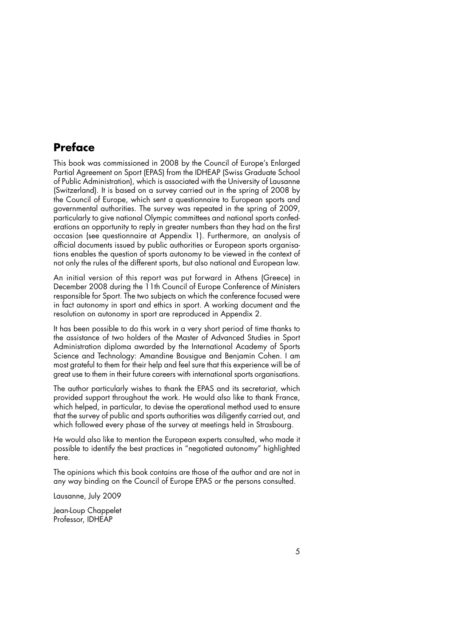# **Preface**

This book was commissioned in 2008 by the Council of Europe's Enlarged Partial Agreement on Sport (EPAS) from the IDHEAP (Swiss Graduate School of Public Administration), which is associated with the University of Lausanne (Switzerland). It is based on a survey carried out in the spring of 2008 by the Council of Europe, which sent a questionnaire to European sports and governmental authorities. The survey was repeated in the spring of 2009, particularly to give national Olympic committees and national sports confederations an opportunity to reply in greater numbers than they had on the first occasion (see questionnaire at Appendix 1). Furthermore, an analysis of official documents issued by public authorities or European sports organisations enables the question of sports autonomy to be viewed in the context of not only the rules of the different sports, but also national and European law.

An initial version of this report was put forward in Athens (Greece) in December 2008 during the 11th Council of Europe Conference of Ministers responsible for Sport. The two subjects on which the conference focused were in fact autonomy in sport and ethics in sport. A working document and the resolution on autonomy in sport are reproduced in Appendix 2.

It has been possible to do this work in a very short period of time thanks to the assistance of two holders of the Master of Advanced Studies in Sport Administration diploma awarded by the International Academy of Sports Science and Technology: Amandine Bousigue and Benjamin Cohen. I am most grateful to them for their help and feel sure that this experience will be of great use to them in their future careers with international sports organisations.

The author particularly wishes to thank the EPAS and its secretariat, which provided support throughout the work. He would also like to thank France, which helped, in particular, to devise the operational method used to ensure that the survey of public and sports authorities was diligently carried out, and which followed every phase of the survey at meetings held in Strasbourg.

He would also like to mention the European experts consulted, who made it possible to identify the best practices in "negotiated autonomy" highlighted here.

The opinions which this book contains are those of the author and are not in any way binding on the Council of Europe EPAS or the persons consulted.

Lausanne, July 2009

Jean-Loup Chappelet Professor, IDHEAP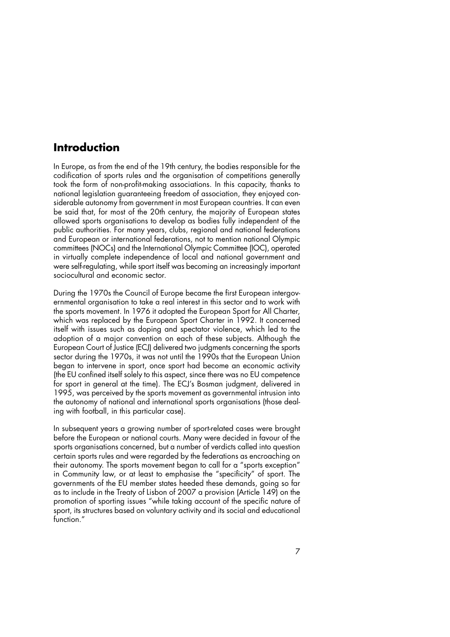### **Introduction**

In Europe, as from the end of the 19th century, the bodies responsible for the codification of sports rules and the organisation of competitions generally took the form of non-profit-making associations. In this capacity, thanks to national legislation guaranteeing freedom of association, they enjoyed considerable autonomy from government in most European countries. It can even be said that, for most of the 20th century, the majority of European states allowed sports organisations to develop as bodies fully independent of the public authorities. For many years, clubs, regional and national federations and European or international federations, not to mention national Olympic committees (NOCs) and the International Olympic Committee (IOC), operated in virtually complete independence of local and national government and were self-regulating, while sport itself was becoming an increasingly important sociocultural and economic sector.

During the 1970s the Council of Europe became the first European intergovernmental organisation to take a real interest in this sector and to work with the sports movement. In 1976 it adopted the European Sport for All Charter, which was replaced by the European Sport Charter in 1992. It concerned itself with issues such as doping and spectator violence, which led to the adoption of a major convention on each of these subjects. Although the European Court of Justice (ECJ) delivered two judgments concerning the sports sector during the 1970s, it was not until the 1990s that the European Union began to intervene in sport, once sport had become an economic activity (the EU confined itself solely to this aspect, since there was no EU competence for sport in general at the time). The ECJ's Bosman judgment, delivered in 1995, was perceived by the sports movement as governmental intrusion into the autonomy of national and international sports organisations (those dealing with football, in this particular case).

In subsequent years a growing number of sport-related cases were brought before the European or national courts. Many were decided in favour of the sports organisations concerned, but a number of verdicts called into question certain sports rules and were regarded by the federations as encroaching on their autonomy. The sports movement began to call for a "sports exception" in Community law, or at least to emphasise the "specificity" of sport. The governments of the EU member states heeded these demands, going so far as to include in the Treaty of Lisbon of 2007 a provision (Article 149) on the promotion of sporting issues "while taking account of the specific nature of sport, its structures based on voluntary activity and its social and educational function<sup>"</sup>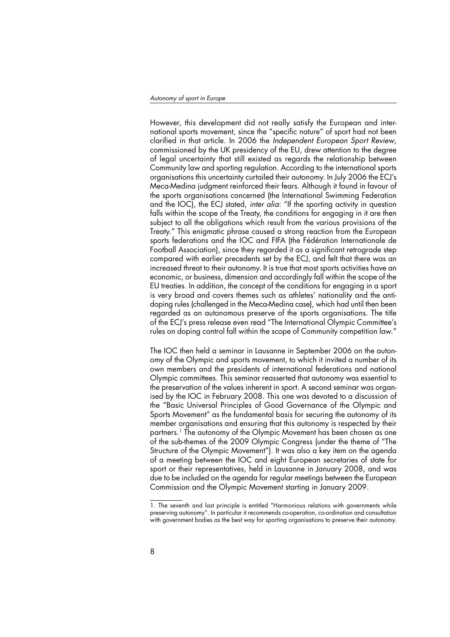However, this development did not really satisfy the European and international sports movement, since the "specific nature" of sport had not been clarified in that article. In 2006 the Independent European Sport Review, commissioned by the UK presidency of the EU, drew attention to the degree of legal uncertainty that still existed as regards the relationship between Community law and sporting regulation. According to the international sports organisations this uncertainty curtailed their autonomy. In July 2006 the ECJ's Meca-Medina judgment reinforced their fears. Although it found in favour of the sports organisations concerned (the International Swimming Federation and the IOC), the ECJ stated, inter alia: "If the sporting activity in question falls within the scope of the Treaty, the conditions for engaging in it are then subject to all the obligations which result from the various provisions of the Treaty." This enigmatic phrase caused a strong reaction from the European sports federations and the IOC and FIFA (the Fédération Internationale de Football Association), since they regarded it as a significant retrograde step compared with earlier precedents set by the ECJ, and felt that there was an increased threat to their autonomy. It is true that most sports activities have an economic, or business, dimension and accordingly fall within the scope of the EU treaties. In addition, the concept of the conditions for engaging in a sport is very broad and covers themes such as athletes' nationality and the antidoping rules (challenged in the Meca-Medina case), which had until then been regarded as an autonomous preserve of the sports organisations. The title of the ECJ's press release even read "The International Olympic Committee's rules on doping control fall within the scope of Community competition law."

The IOC then held a seminar in Lausanne in September 2006 on the autonomy of the Olympic and sports movement, to which it invited a number of its own members and the presidents of international federations and national Olympic committees. This seminar reasserted that autonomy was essential to the preservation of the values inherent in sport. A second seminar was organised by the IOC in February 2008. This one was devoted to a discussion of the "Basic Universal Principles of Good Governance of the Olympic and Sports Movement" as the fundamental basis for securing the autonomy of its member organisations and ensuring that this autonomy is respected by their partners.<sup>1</sup> The autonomy of the Olympic Movement has been chosen as one of the sub-themes of the 2009 Olympic Congress (under the theme of "The Structure of the Olympic Movement"). It was also a key item on the agenda of a meeting between the IOC and eight European secretaries of state for sport or their representatives, held in Lausanne in January 2008, and was due to be included on the agenda for regular meetings between the European Commission and the Olympic Movement starting in January 2009.

<sup>1.</sup> The seventh and last principle is entitled "Harmonious relations with governments while preserving autonomy". In particular it recommends co-operation, co-ordination and consultation with government bodies as the best way for sporting organisations to preserve their autonomy.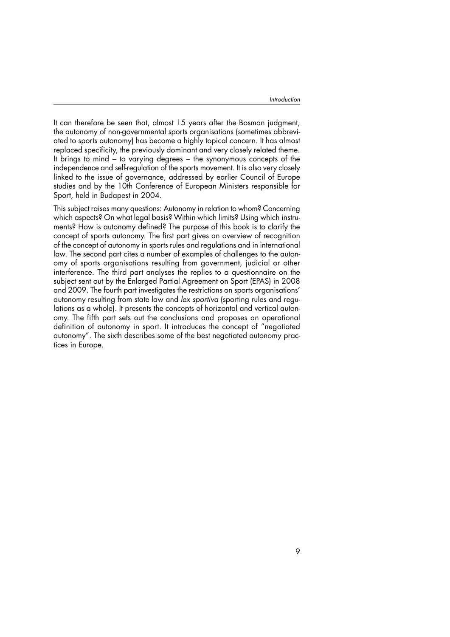It can therefore be seen that, almost 15 years after the Bosman judgment, the autonomy of non-governmental sports organisations (sometimes abbreviated to sports autonomy) has become a highly topical concern. It has almost replaced specificity, the previously dominant and very closely related theme. It brings to mind − to varying degrees − the synonymous concepts of the independence and self-regulation of the sports movement. It is also very closely linked to the issue of governance, addressed by earlier Council of Europe studies and by the 10th Conference of European Ministers responsible for Sport, held in Budapest in 2004.

This subject raises many questions: Autonomy in relation to whom? Concerning which aspects? On what legal basis? Within which limits? Using which instruments? How is autonomy defined? The purpose of this book is to clarify the concept of sports autonomy. The first part gives an overview of recognition of the concept of autonomy in sports rules and regulations and in international law. The second part cites a number of examples of challenges to the autonomy of sports organisations resulting from government, judicial or other interference. The third part analyses the replies to a questionnaire on the subject sent out by the Enlarged Partial Agreement on Sport (EPAS) in 2008 and 2009. The fourth part investigates the restrictions on sports organisations' autonomy resulting from state law and lex sportiva (sporting rules and regulations as a whole). It presents the concepts of horizontal and vertical autonomy. The fifth part sets out the conclusions and proposes an operational definition of autonomy in sport. It introduces the concept of "negotiated autonomy". The sixth describes some of the best negotiated autonomy practices in Europe.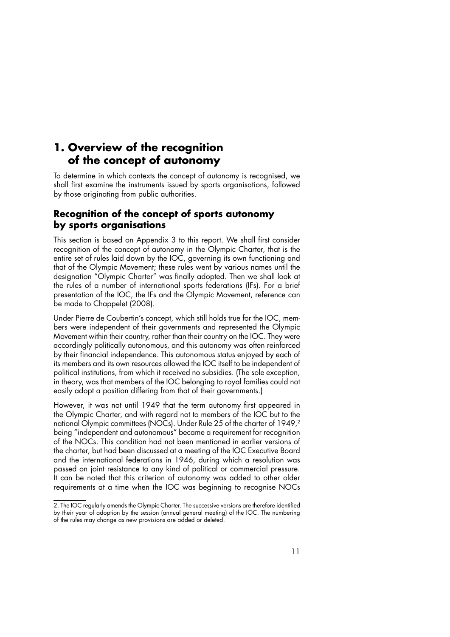## **1. Overview of the recognition of the concept of autonomy**

To determine in which contexts the concept of autonomy is recognised, we shall first examine the instruments issued by sports organisations, followed by those originating from public authorities.

### **Recognition of the concept of sports autonomy by sports organisations**

This section is based on Appendix 3 to this report. We shall first consider recognition of the concept of autonomy in the Olympic Charter, that is the entire set of rules laid down by the IOC, governing its own functioning and that of the Olympic Movement; these rules went by various names until the designation "Olympic Charter" was finally adopted. Then we shall look at the rules of a number of international sports federations (IFs). For a brief presentation of the IOC, the IFs and the Olympic Movement, reference can be made to Chappelet (2008).

Under Pierre de Coubertin's concept, which still holds true for the IOC, members were independent of their governments and represented the Olympic Movement within their country, rather than their country on the IOC. They were accordingly politically autonomous, and this autonomy was often reinforced by their financial independence. This autonomous status enjoyed by each of its members and its own resources allowed the IOC itself to be independent of political institutions, from which it received no subsidies. (The sole exception, in theory, was that members of the IOC belonging to royal families could not easily adopt a position differing from that of their governments.)

However, it was not until 1949 that the term autonomy first appeared in the Olympic Charter, and with regard not to members of the IOC but to the national Olympic committees (NOCs). Under Rule 25 of the charter of 1949,<sup>2</sup> being "independent and autonomous" became a requirement for recognition of the NOCs. This condition had not been mentioned in earlier versions of the charter, but had been discussed at a meeting of the IOC Executive Board and the international federations in 1946, during which a resolution was passed on joint resistance to any kind of political or commercial pressure. It can be noted that this criterion of autonomy was added to other older requirements at a time when the IOC was beginning to recognise NOCs

<sup>2.</sup> The IOC regularly amends the Olympic Charter. The successive versions are therefore identified by their year of adoption by the session (annual general meeting) of the IOC. The numbering of the rules may change as new provisions are added or deleted.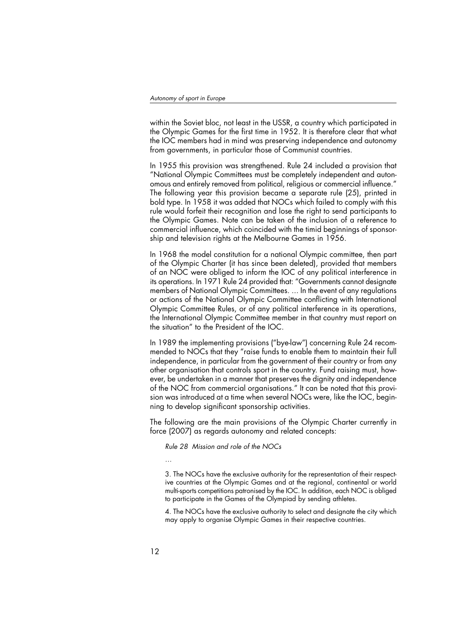within the Soviet bloc, not least in the USSR, a country which participated in the Olympic Games for the first time in 1952. It is therefore clear that what the IOC members had in mind was preserving independence and autonomy from governments, in particular those of Communist countries.

In 1955 this provision was strengthened. Rule 24 included a provision that "National Olympic Committees must be completely independent and autonomous and entirely removed from political, religious or commercial influence." The following year this provision became a separate rule (25), printed in bold type. In 1958 it was added that NOCs which failed to comply with this rule would forfeit their recognition and lose the right to send participants to the Olympic Games. Note can be taken of the inclusion of a reference to commercial influence, which coincided with the timid beginnings of sponsorship and television rights at the Melbourne Games in 1956.

In 1968 the model constitution for a national Olympic committee, then part of the Olympic Charter (it has since been deleted), provided that members of an NOC were obliged to inform the IOC of any political interference in its operations. In 1971 Rule 24 provided that: "Governments cannot designate members of National Olympic Committees. ... In the event of any regulations or actions of the National Olympic Committee conflicting with International Olympic Committee Rules, or of any political interference in its operations, the International Olympic Committee member in that country must report on the situation" to the President of the IOC.

In 1989 the implementing provisions ("bye-law") concerning Rule 24 recommended to NOCs that they "raise funds to enable them to maintain their full independence, in particular from the government of their country or from any other organisation that controls sport in the country. Fund raising must, however, be undertaken in a manner that preserves the dignity and independence of the NOC from commercial organisations." It can be noted that this provision was introduced at a time when several NOCs were, like the IOC, beginning to develop significant sponsorship activities.

The following are the main provisions of the Olympic Charter currently in force (2007) as regards autonomy and related concepts:

Rule 28 Mission and role of the NOCs

…

3. The NOCs have the exclusive authority for the representation of their respective countries at the Olympic Games and at the regional, continental or world multi-sports competitions patronised by the IOC. In addition, each NOC is obliged to participate in the Games of the Olympiad by sending athletes.

4. The NOCs have the exclusive authority to select and designate the city which may apply to organise Olympic Games in their respective countries.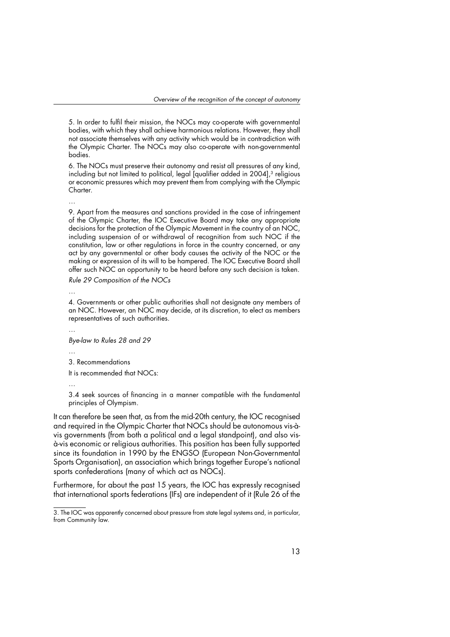5. In order to fulfil their mission, the NOCs may co-operate with governmental bodies, with which they shall achieve harmonious relations. However, they shall not associate themselves with any activity which would be in contradiction with the Olympic Charter. The NOCs may also co-operate with non-governmental bodies.

6. The NOCs must preserve their autonomy and resist all pressures of any kind, including but not limited to political, legal [qualifier added in 2004],<sup>3</sup> religious or economic pressures which may prevent them from complying with the Olympic Charter.

…

9. Apart from the measures and sanctions provided in the case of infringement of the Olympic Charter, the IOC Executive Board may take any appropriate decisions for the protection of the Olympic Movement in the country of an NOC, including suspension of or withdrawal of recognition from such NOC if the constitution, law or other regulations in force in the country concerned, or any act by any governmental or other body causes the activity of the NOC or the making or expression of its will to be hampered. The IOC Executive Board shall offer such NOC an opportunity to be heard before any such decision is taken.

Rule 29 Composition of the NOCs

…

4. Governments or other public authorities shall not designate any members of an NOC. However, an NOC may decide, at its discretion, to elect as members representatives of such authorities.

Bye-law to Rules 28 and 29

…

3. Recommendations

It is recommended that NOCs:

…

3.4 seek sources of financing in a manner compatible with the fundamental principles of Olympism.

It can therefore be seen that, as from the mid-20th century, the IOC recognised and required in the Olympic Charter that NOCs should be autonomous vis-àvis governments (from both a political and a legal standpoint), and also visà-vis economic or religious authorities. This position has been fully supported since its foundation in 1990 by the ENGSO (European Non-Governmental Sports Organisation), an association which brings together Europe's national sports confederations (many of which act as NOCs).

Furthermore, for about the past 15 years, the IOC has expressly recognised that international sports federations (IFs) are independent of it (Rule 26 of the

<sup>3.</sup> The IOC was apparently concerned about pressure from state legal systems and, in particular, from Community law.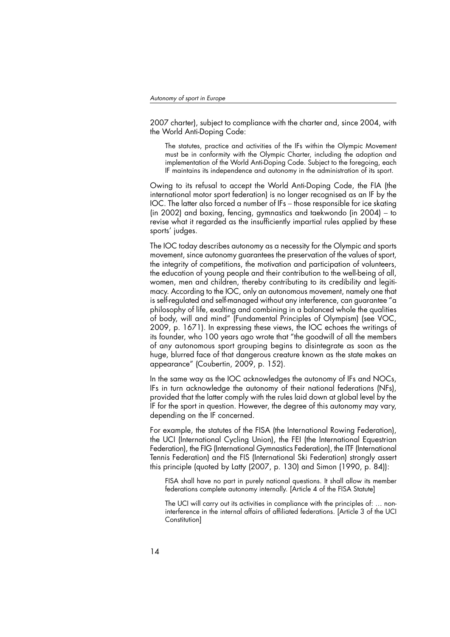2007 charter), subject to compliance with the charter and, since 2004, with the World Anti-Doping Code:

The statutes, practice and activities of the IFs within the Olympic Movement must be in conformity with the Olympic Charter, including the adoption and implementation of the World Anti-Doping Code. Subject to the foregoing, each IF maintains its independence and autonomy in the administration of its sport.

Owing to its refusal to accept the World Anti-Doping Code, the FIA (the international motor sport federation) is no longer recognised as an IF by the IOC. The latter also forced a number of IFs – those responsible for ice skating (in 2002) and boxing, fencing, gymnastics and taekwondo (in 2004) − to revise what it regarded as the insufficiently impartial rules applied by these sports' judges.

The IOC today describes autonomy as a necessity for the Olympic and sports movement, since autonomy guarantees the preservation of the values of sport, the integrity of competitions, the motivation and participation of volunteers, the education of young people and their contribution to the well-being of all, women, men and children, thereby contributing to its credibility and legitimacy. According to the IOC, only an autonomous movement, namely one that is self-regulated and self-managed without any interference, can guarantee "a philosophy of life, exalting and combining in a balanced whole the qualities of body, will and mind" (Fundamental Principles of Olympism) (see VOC, 2009, p. 1671). In expressing these views, the IOC echoes the writings of its founder, who 100 years ago wrote that "the goodwill of all the members of any autonomous sport grouping begins to disintegrate as soon as the huge, blurred face of that dangerous creature known as the state makes an appearance" (Coubertin, 2009, p. 152).

In the same way as the IOC acknowledges the autonomy of IFs and NOCs, IFs in turn acknowledge the autonomy of their national federations (NFs), provided that the latter comply with the rules laid down at global level by the IF for the sport in question. However, the degree of this autonomy may vary, depending on the IF concerned.

For example, the statutes of the FISA (the International Rowing Federation), the UCI (International Cycling Union), the FEI (the International Equestrian Federation), the FIG (International Gymnastics Federation), the ITF (International Tennis Federation) and the FIS (International Ski Federation) strongly assert this principle (quoted by Latty (2007, p. 130) and Simon (1990, p. 84)):

FISA shall have no part in purely national questions. It shall allow its member federations complete autonomy internally. [Article 4 of the FISA Statute]

The UCI will carry out its activities in compliance with the principles of: … noninterference in the internal affairs of affiliated federations. [Article 3 of the UCI Constitution]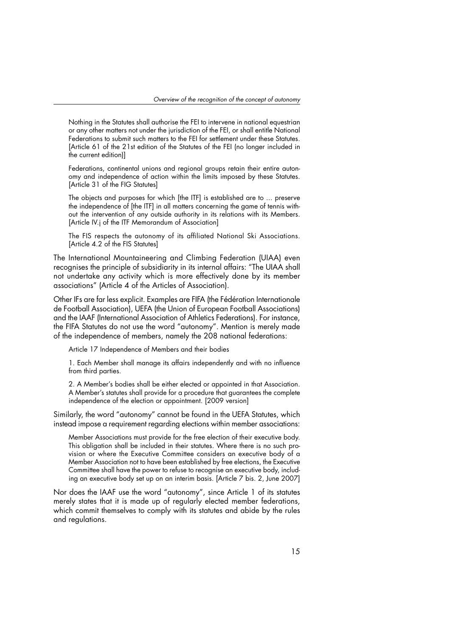Nothing in the Statutes shall authorise the FEI to intervene in national equestrian or any other matters not under the jurisdiction of the FEI, or shall entitle National Federations to submit such matters to the FEI for settlement under these Statutes. [Article 61 of the 21st edition of the Statutes of the FEI (no longer included in the current edition)]

Federations, continental unions and regional groups retain their entire autonomy and independence of action within the limits imposed by these Statutes. [Article 31 of the FIG Statutes]

The objects and purposes for which [the ITF] is established are to ... preserve the independence of [the ITF] in all matters concerning the game of tennis without the intervention of any outside authority in its relations with its Members. [Article IV.j of the ITF Memorandum of Association]

The FIS respects the autonomy of its affiliated National Ski Associations. [Article 4.2 of the FIS Statutes]

The International Mountaineering and Climbing Federation (UIAA) even recognises the principle of subsidiarity in its internal affairs: "The UIAA shall not undertake any activity which is more effectively done by its member associations" (Article 4 of the Articles of Association).

Other IFs are far less explicit. Examples are FIFA (the Fédération Internationale de Football Association), UEFA (the Union of European Football Associations) and the IAAF (International Association of Athletics Federations). For instance, the FIFA Statutes do not use the word "autonomy". Mention is merely made of the independence of members, namely the 208 national federations:

Article 17 Independence of Members and their bodies

1. Each Member shall manage its affairs independently and with no influence from third parties.

2. A Member's bodies shall be either elected or appointed in that Association. A Member's statutes shall provide for a procedure that guarantees the complete independence of the election or appointment. [2009 version]

Similarly, the word "autonomy" cannot be found in the UEFA Statutes, which instead impose a requirement regarding elections within member associations:

Member Associations must provide for the free election of their executive body. This obligation shall be included in their statutes. Where there is no such provision or where the Executive Committee considers an executive body of a Member Association not to have been established by free elections, the Executive Committee shall have the power to refuse to recognise an executive body, including an executive body set up on an interim basis. [Article 7 bis. 2, June 2007]

Nor does the IAAF use the word "autonomy", since Article 1 of its statutes merely states that it is made up of regularly elected member federations, which commit themselves to comply with its statutes and abide by the rules and regulations.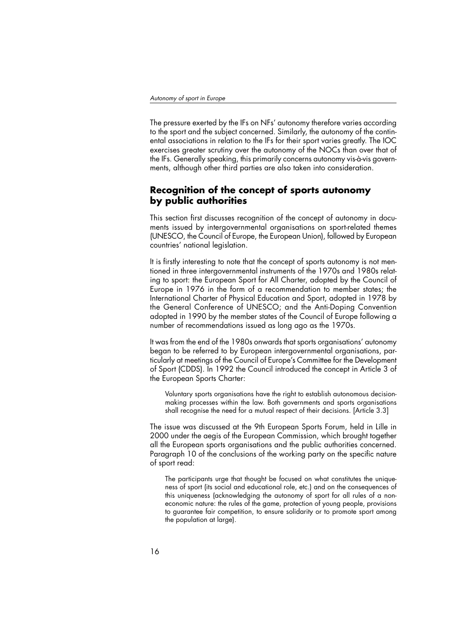The pressure exerted by the IFs on NFs' autonomy therefore varies according to the sport and the subject concerned. Similarly, the autonomy of the continental associations in relation to the IFs for their sport varies greatly. The IOC exercises greater scrutiny over the autonomy of the NOCs than over that of the IFs. Generally speaking, this primarily concerns autonomy vis-à-vis governments, although other third parties are also taken into consideration.

#### **Recognition of the concept of sports autonomy by public authorities**

This section first discusses recognition of the concept of autonomy in documents issued by intergovernmental organisations on sport-related themes (UNESCO, the Council of Europe, the European Union), followed by European countries' national legislation.

It is firstly interesting to note that the concept of sports autonomy is not mentioned in three intergovernmental instruments of the 1970s and 1980s relating to sport: the European Sport for All Charter, adopted by the Council of Europe in 1976 in the form of a recommendation to member states; the International Charter of Physical Education and Sport, adopted in 1978 by the General Conference of UNESCO; and the Anti-Doping Convention adopted in 1990 by the member states of the Council of Europe following a number of recommendations issued as long ago as the 1970s.

It was from the end of the 1980s onwards that sports organisations' autonomy began to be referred to by European intergovernmental organisations, particularly at meetings of the Council of Europe's Committee for the Development of Sport (CDDS). In 1992 the Council introduced the concept in Article 3 of the European Sports Charter:

Voluntary sports organisations have the right to establish autonomous decisionmaking processes within the law. Both governments and sports organisations shall recognise the need for a mutual respect of their decisions. [Article 3.3]

The issue was discussed at the 9th European Sports Forum, held in Lille in 2000 under the aegis of the European Commission, which brought together all the European sports organisations and the public authorities concerned. Paragraph 10 of the conclusions of the working party on the specific nature of sport read:

The participants urge that thought be focused on what constitutes the uniqueness of sport (its social and educational role, etc.) and on the consequences of this uniqueness (acknowledging the autonomy of sport for all rules of a noneconomic nature: the rules of the game, protection of young people, provisions to guarantee fair competition, to ensure solidarity or to promote sport among the population at large).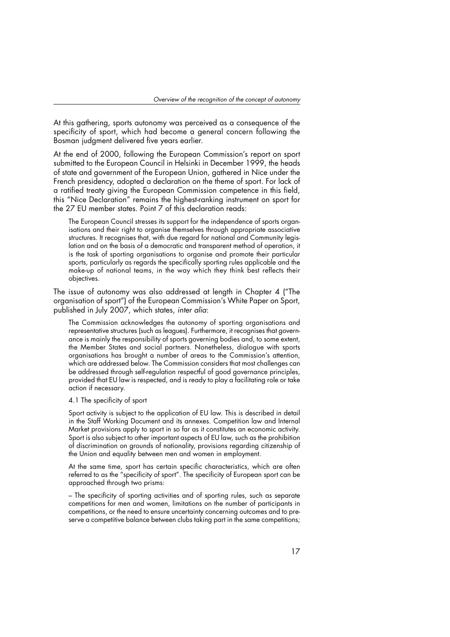At this gathering, sports autonomy was perceived as a consequence of the specificity of sport, which had become a general concern following the Bosman judgment delivered five years earlier.

At the end of 2000, following the European Commission's report on sport submitted to the European Council in Helsinki in December 1999, the heads of state and government of the European Union, gathered in Nice under the French presidency, adopted a declaration on the theme of sport. For lack of a ratified treaty giving the European Commission competence in this field, this "Nice Declaration" remains the highest-ranking instrument on sport for the 27 EU member states. Point 7 of this declaration reads:

The European Council stresses its support for the independence of sports organisations and their right to organise themselves through appropriate associative structures. It recognises that, with due regard for national and Community legislation and on the basis of a democratic and transparent method of operation, it is the task of sporting organisations to organise and promote their particular sports, particularly as regards the specifically sporting rules applicable and the make-up of national teams, in the way which they think best reflects their objectives.

The issue of autonomy was also addressed at length in Chapter 4 ("The organisation of sport") of the European Commission's White Paper on Sport, published in July 2007, which states, inter alia:

The Commission acknowledges the autonomy of sporting organisations and representative structures (such as leagues). Furthermore, it recognises that governance is mainly the responsibility of sports governing bodies and, to some extent, the Member States and social partners. Nonetheless, dialogue with sports organisations has brought a number of areas to the Commission's attention, which are addressed below. The Commission considers that most challenges can be addressed through self-regulation respectful of good governance principles, provided that EU law is respected, and is ready to play a facilitating role or take action if necessary.

4.1 The specificity of sport

Sport activity is subject to the application of EU law. This is described in detail in the Staff Working Document and its annexes. Competition law and Internal Market provisions apply to sport in so far as it constitutes an economic activity. Sport is also subject to other important aspects of EU law, such as the prohibition of discrimination on grounds of nationality, provisions regarding citizenship of the Union and equality between men and women in employment.

At the same time, sport has certain specific characteristics, which are often referred to as the "specificity of sport". The specificity of European sport can be approached through two prisms:

– The specificity of sporting activities and of sporting rules, such as separate competitions for men and women, limitations on the number of participants in competitions, or the need to ensure uncertainty concerning outcomes and to preserve a competitive balance between clubs taking part in the same competitions;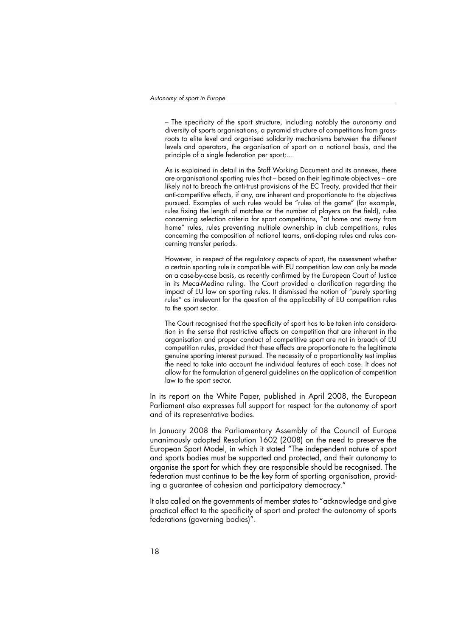– The specificity of the sport structure, including notably the autonomy and diversity of sports organisations, a pyramid structure of competitions from grassroots to elite level and organised solidarity mechanisms between the different levels and operators, the organisation of sport on a national basis, and the principle of a single federation per sport;…

As is explained in detail in the Staff Working Document and its annexes, there are organisational sporting rules that – based on their legitimate objectives – are likely not to breach the anti-trust provisions of the EC Treaty, provided that their anti-competitive effects, if any, are inherent and proportionate to the objectives pursued. Examples of such rules would be "rules of the game" (for example, rules fixing the length of matches or the number of players on the field), rules concerning selection criteria for sport competitions, "at home and away from home" rules, rules preventing multiple ownership in club competitions, rules concerning the composition of national teams, anti-doping rules and rules concerning transfer periods.

However, in respect of the regulatory aspects of sport, the assessment whether a certain sporting rule is compatible with EU competition law can only be made on a case-by-case basis, as recently confirmed by the European Court of Justice in its Meca-Medina ruling. The Court provided a clarification regarding the impact of EU law on sporting rules. It dismissed the notion of "purely sporting rules" as irrelevant for the question of the applicability of EU competition rules to the sport sector.

The Court recognised that the specificity of sport has to be taken into consideration in the sense that restrictive effects on competition that are inherent in the organisation and proper conduct of competitive sport are not in breach of EU competition rules, provided that these effects are proportionate to the legitimate genuine sporting interest pursued. The necessity of a proportionality test implies the need to take into account the individual features of each case. It does not allow for the formulation of general guidelines on the application of competition law to the sport sector.

In its report on the White Paper, published in April 2008, the European Parliament also expresses full support for respect for the autonomy of sport and of its representative bodies.

In January 2008 the Parliamentary Assembly of the Council of Europe unanimously adopted Resolution 1602 (2008) on the need to preserve the European Sport Model, in which it stated "The independent nature of sport and sports bodies must be supported and protected, and their autonomy to organise the sport for which they are responsible should be recognised. The federation must continue to be the key form of sporting organisation, providing a guarantee of cohesion and participatory democracy."

It also called on the governments of member states to "acknowledge and give practical effect to the specificity of sport and protect the autonomy of sports federations (governing bodies)".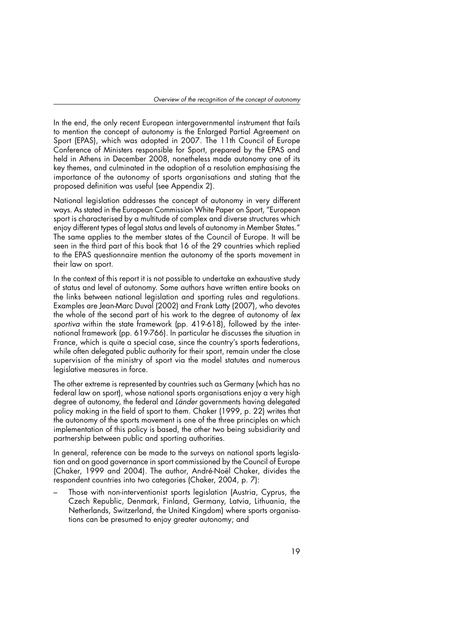In the end, the only recent European intergovernmental instrument that fails to mention the concept of autonomy is the Enlarged Partial Agreement on Sport (EPAS), which was adopted in 2007. The 11th Council of Europe Conference of Ministers responsible for Sport, prepared by the EPAS and held in Athens in December 2008, nonetheless made autonomy one of its key themes, and culminated in the adoption of a resolution emphasising the importance of the autonomy of sports organisations and stating that the proposed definition was useful (see Appendix 2).

National legislation addresses the concept of autonomy in very different ways. As stated in the European Commission White Paper on Sport, "European sport is characterised by a multitude of complex and diverse structures which enjoy different types of legal status and levels of autonomy in Member States." The same applies to the member states of the Council of Europe. It will be seen in the third part of this book that 16 of the 29 countries which replied to the EPAS questionnaire mention the autonomy of the sports movement in their law on sport.

In the context of this report it is not possible to undertake an exhaustive study of status and level of autonomy. Some authors have written entire books on the links between national legislation and sporting rules and regulations. Examples are Jean-Marc Duval (2002) and Frank Latty (2007), who devotes the whole of the second part of his work to the degree of autonomy of lex sportiva within the state framework (pp. 419-618), followed by the international framework (pp. 619-766). In particular he discusses the situation in France, which is quite a special case, since the country's sports federations, while often delegated public authority for their sport, remain under the close supervision of the ministry of sport via the model statutes and numerous legislative measures in force.

The other extreme is represented by countries such as Germany (which has no federal law on sport), whose national sports organisations enjoy a very high degree of autonomy, the federal and Länder governments having delegated policy making in the field of sport to them. Chaker (1999, p. 22) writes that the autonomy of the sports movement is one of the three principles on which implementation of this policy is based, the other two being subsidiarity and partnership between public and sporting authorities.

In general, reference can be made to the surveys on national sports legislation and on good governance in sport commissioned by the Council of Europe (Chaker, 1999 and 2004). The author, André-Noël Chaker, divides the respondent countries into two categories (Chaker, 2004, p. 7):

– Those with non-interventionist sports legislation (Austria, Cyprus, the Czech Republic, Denmark, Finland, Germany, Latvia, Lithuania, the Netherlands, Switzerland, the United Kingdom) where sports organisations can be presumed to enjoy greater autonomy; and